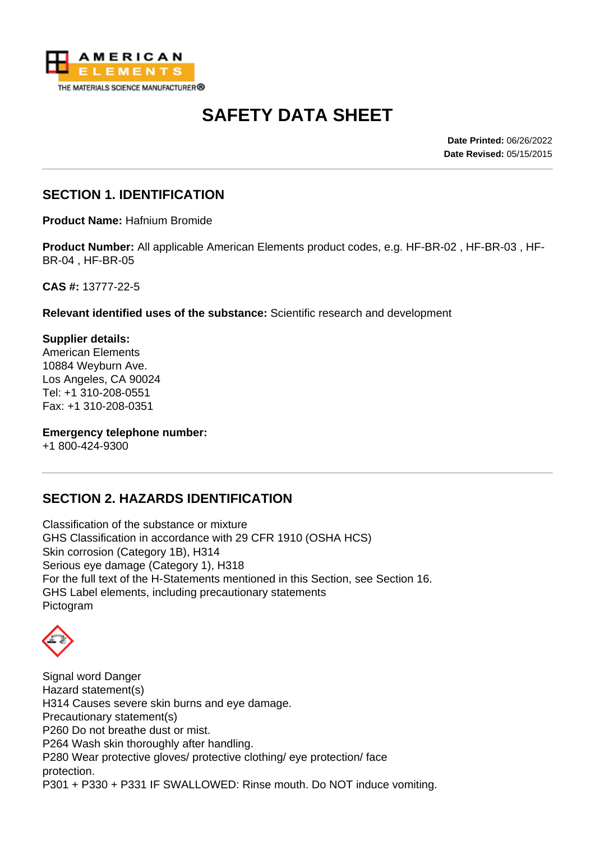

# **SAFETY DATA SHEET**

**Date Printed:** 06/26/2022 **Date Revised:** 05/15/2015

### **SECTION 1. IDENTIFICATION**

**Product Name:** Hafnium Bromide

**Product Number:** All applicable American Elements product codes, e.g. HF-BR-02 , HF-BR-03 , HF-BR-04 , HF-BR-05

**CAS #:** 13777-22-5

**Relevant identified uses of the substance:** Scientific research and development

**Supplier details:** American Elements 10884 Weyburn Ave. Los Angeles, CA 90024 Tel: +1 310-208-0551 Fax: +1 310-208-0351

**Emergency telephone number:**

+1 800-424-9300

# **SECTION 2. HAZARDS IDENTIFICATION**

Classification of the substance or mixture GHS Classification in accordance with 29 CFR 1910 (OSHA HCS) Skin corrosion (Category 1B), H314 Serious eye damage (Category 1), H318 For the full text of the H-Statements mentioned in this Section, see Section 16. GHS Label elements, including precautionary statements Pictogram

Signal word Danger Hazard statement(s) H314 Causes severe skin burns and eye damage. Precautionary statement(s) P260 Do not breathe dust or mist. P264 Wash skin thoroughly after handling. P280 Wear protective gloves/ protective clothing/ eye protection/ face protection. P301 + P330 + P331 IF SWALLOWED: Rinse mouth. Do NOT induce vomiting.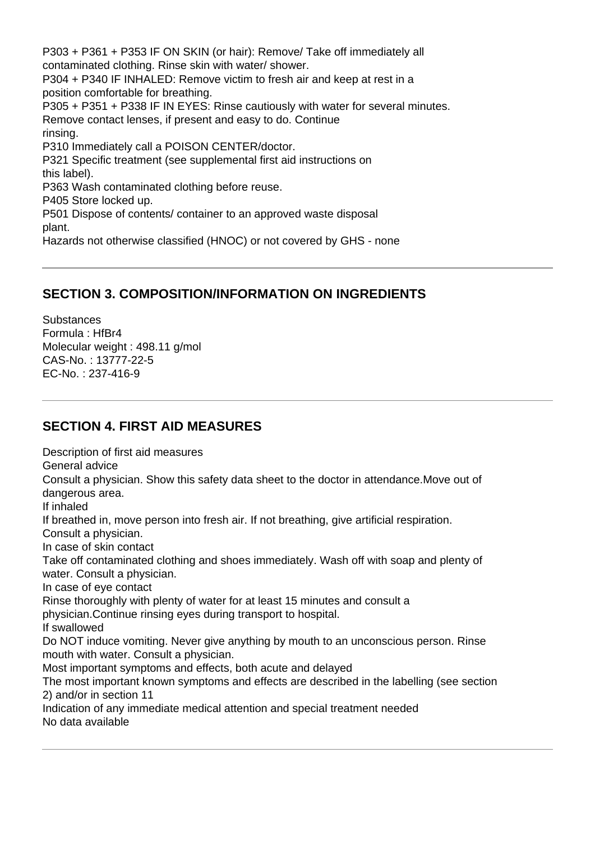P303 + P361 + P353 IF ON SKIN (or hair): Remove/ Take off immediately all contaminated clothing. Rinse skin with water/ shower. P304 + P340 IF INHALED: Remove victim to fresh air and keep at rest in a position comfortable for breathing. P305 + P351 + P338 IF IN EYES: Rinse cautiously with water for several minutes. Remove contact lenses, if present and easy to do. Continue rinsing. P310 Immediately call a POISON CENTER/doctor. P321 Specific treatment (see supplemental first aid instructions on this label). P363 Wash contaminated clothing before reuse. P405 Store locked up. P501 Dispose of contents/ container to an approved waste disposal plant. Hazards not otherwise classified (HNOC) or not covered by GHS - none

#### **SECTION 3. COMPOSITION/INFORMATION ON INGREDIENTS**

**Substances** Formula : HfBr4 Molecular weight : 498.11 g/mol CAS-No. : 13777-22-5 EC-No. : 237-416-9

## **SECTION 4. FIRST AID MEASURES**

Description of first aid measures General advice Consult a physician. Show this safety data sheet to the doctor in attendance.Move out of dangerous area. If inhaled If breathed in, move person into fresh air. If not breathing, give artificial respiration. Consult a physician. In case of skin contact Take off contaminated clothing and shoes immediately. Wash off with soap and plenty of water. Consult a physician. In case of eye contact Rinse thoroughly with plenty of water for at least 15 minutes and consult a physician.Continue rinsing eyes during transport to hospital. If swallowed Do NOT induce vomiting. Never give anything by mouth to an unconscious person. Rinse mouth with water. Consult a physician. Most important symptoms and effects, both acute and delayed The most important known symptoms and effects are described in the labelling (see section 2) and/or in section 11 Indication of any immediate medical attention and special treatment needed No data available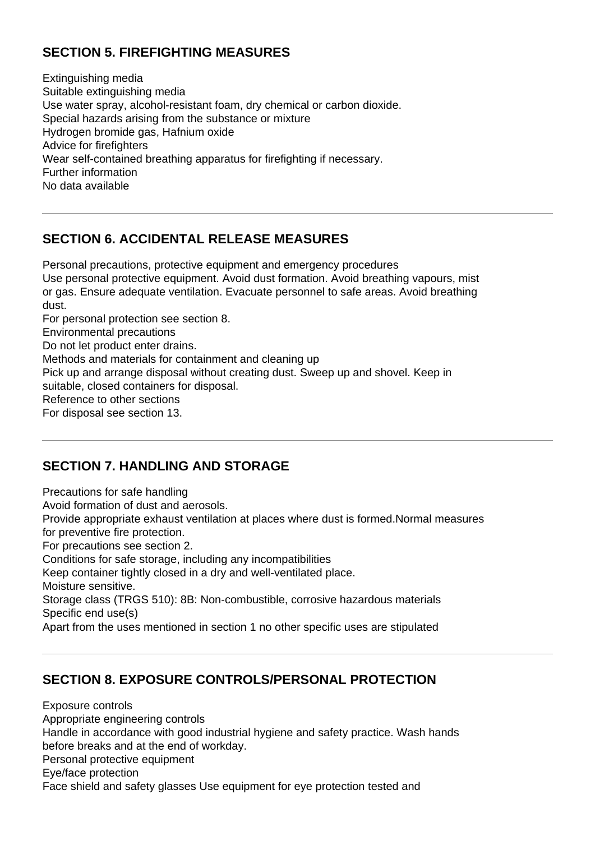# **SECTION 5. FIREFIGHTING MEASURES**

Extinguishing media Suitable extinguishing media Use water spray, alcohol-resistant foam, dry chemical or carbon dioxide. Special hazards arising from the substance or mixture Hydrogen bromide gas, Hafnium oxide Advice for firefighters Wear self-contained breathing apparatus for firefighting if necessary. Further information No data available

### **SECTION 6. ACCIDENTAL RELEASE MEASURES**

Personal precautions, protective equipment and emergency procedures Use personal protective equipment. Avoid dust formation. Avoid breathing vapours, mist or gas. Ensure adequate ventilation. Evacuate personnel to safe areas. Avoid breathing dust.

For personal protection see section 8.

Environmental precautions

Do not let product enter drains.

Methods and materials for containment and cleaning up

Pick up and arrange disposal without creating dust. Sweep up and shovel. Keep in

suitable, closed containers for disposal.

Reference to other sections

For disposal see section 13.

#### **SECTION 7. HANDLING AND STORAGE**

Precautions for safe handling Avoid formation of dust and aerosols. Provide appropriate exhaust ventilation at places where dust is formed.Normal measures for preventive fire protection. For precautions see section 2. Conditions for safe storage, including any incompatibilities Keep container tightly closed in a dry and well-ventilated place. Moisture sensitive. Storage class (TRGS 510): 8B: Non-combustible, corrosive hazardous materials Specific end use(s) Apart from the uses mentioned in section 1 no other specific uses are stipulated

#### **SECTION 8. EXPOSURE CONTROLS/PERSONAL PROTECTION**

Exposure controls Appropriate engineering controls Handle in accordance with good industrial hygiene and safety practice. Wash hands before breaks and at the end of workday. Personal protective equipment Eye/face protection Face shield and safety glasses Use equipment for eye protection tested and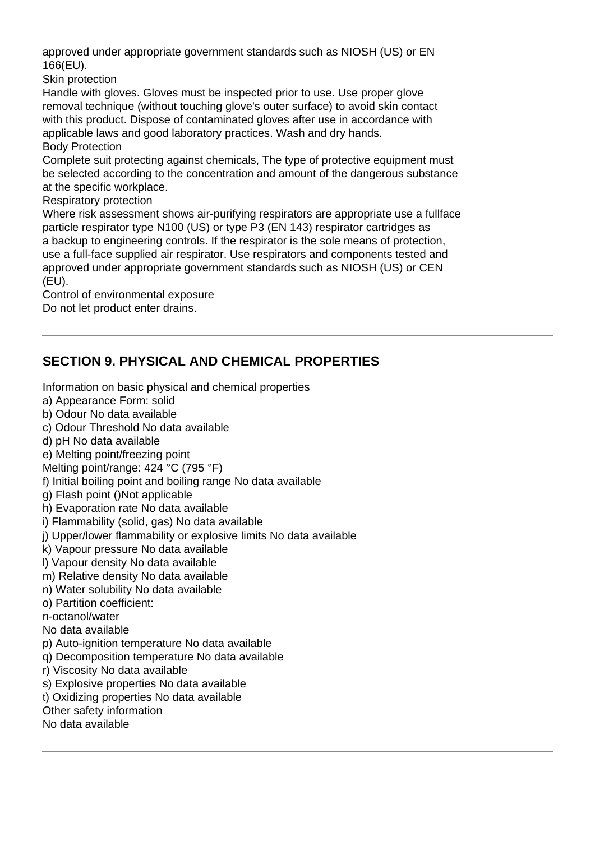approved under appropriate government standards such as NIOSH (US) or EN 166(EU).

Skin protection

Handle with gloves. Gloves must be inspected prior to use. Use proper glove removal technique (without touching glove's outer surface) to avoid skin contact with this product. Dispose of contaminated gloves after use in accordance with applicable laws and good laboratory practices. Wash and dry hands.

Body Protection

Complete suit protecting against chemicals, The type of protective equipment must be selected according to the concentration and amount of the dangerous substance at the specific workplace.

Respiratory protection

Where risk assessment shows air-purifying respirators are appropriate use a fullface particle respirator type N100 (US) or type P3 (EN 143) respirator cartridges as a backup to engineering controls. If the respirator is the sole means of protection, use a full-face supplied air respirator. Use respirators and components tested and approved under appropriate government standards such as NIOSH (US) or CEN (EU).

Control of environmental exposure Do not let product enter drains.

# **SECTION 9. PHYSICAL AND CHEMICAL PROPERTIES**

Information on basic physical and chemical properties

- a) Appearance Form: solid
- b) Odour No data available
- c) Odour Threshold No data available
- d) pH No data available
- e) Melting point/freezing point
- Melting point/range: 424 °C (795 °F)
- f) Initial boiling point and boiling range No data available
- g) Flash point ()Not applicable
- h) Evaporation rate No data available
- i) Flammability (solid, gas) No data available
- j) Upper/lower flammability or explosive limits No data available
- k) Vapour pressure No data available
- l) Vapour density No data available
- m) Relative density No data available
- n) Water solubility No data available
- o) Partition coefficient:
- n-octanol/water
- No data available
- p) Auto-ignition temperature No data available
- q) Decomposition temperature No data available
- r) Viscosity No data available
- s) Explosive properties No data available
- t) Oxidizing properties No data available
- Other safety information
- No data available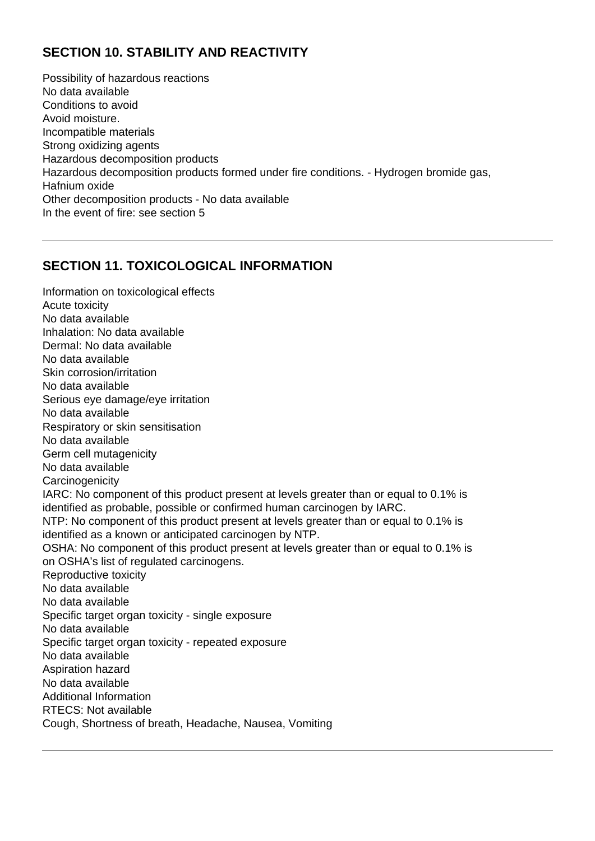# **SECTION 10. STABILITY AND REACTIVITY**

Possibility of hazardous reactions No data available Conditions to avoid Avoid moisture. Incompatible materials Strong oxidizing agents Hazardous decomposition products Hazardous decomposition products formed under fire conditions. - Hydrogen bromide gas, Hafnium oxide Other decomposition products - No data available In the event of fire: see section 5

### **SECTION 11. TOXICOLOGICAL INFORMATION**

Information on toxicological effects Acute toxicity No data available Inhalation: No data available Dermal: No data available No data available Skin corrosion/irritation No data available Serious eye damage/eye irritation No data available Respiratory or skin sensitisation No data available Germ cell mutagenicity No data available **Carcinogenicity** IARC: No component of this product present at levels greater than or equal to 0.1% is identified as probable, possible or confirmed human carcinogen by IARC. NTP: No component of this product present at levels greater than or equal to 0.1% is identified as a known or anticipated carcinogen by NTP. OSHA: No component of this product present at levels greater than or equal to 0.1% is on OSHA's list of regulated carcinogens. Reproductive toxicity No data available No data available Specific target organ toxicity - single exposure No data available Specific target organ toxicity - repeated exposure No data available Aspiration hazard No data available Additional Information RTECS: Not available Cough, Shortness of breath, Headache, Nausea, Vomiting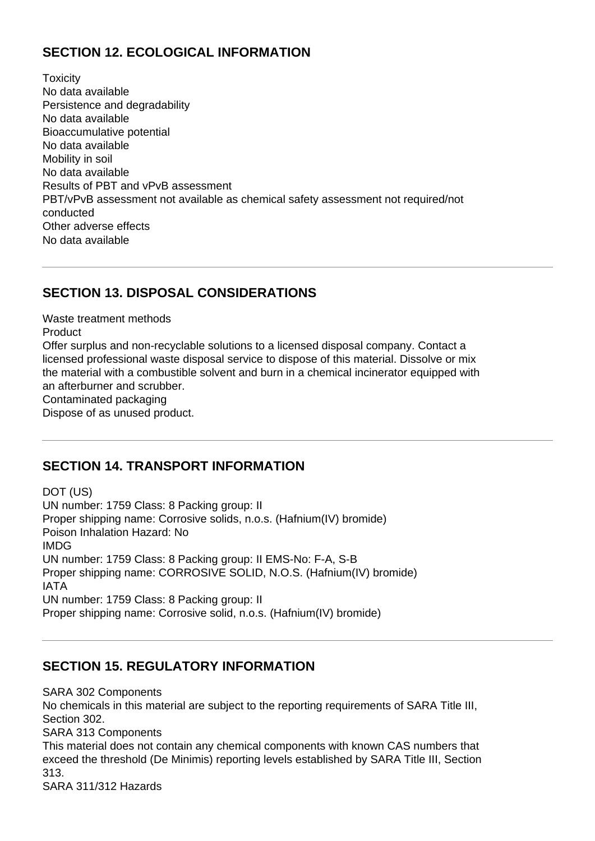# **SECTION 12. ECOLOGICAL INFORMATION**

**Toxicity** No data available Persistence and degradability No data available Bioaccumulative potential No data available Mobility in soil No data available Results of PBT and vPvB assessment PBT/vPvB assessment not available as chemical safety assessment not required/not conducted Other adverse effects No data available

# **SECTION 13. DISPOSAL CONSIDERATIONS**

Waste treatment methods **Product** Offer surplus and non-recyclable solutions to a licensed disposal company. Contact a licensed professional waste disposal service to dispose of this material. Dissolve or mix the material with a combustible solvent and burn in a chemical incinerator equipped with an afterburner and scrubber. Contaminated packaging Dispose of as unused product.

#### **SECTION 14. TRANSPORT INFORMATION**

DOT (US) UN number: 1759 Class: 8 Packing group: II Proper shipping name: Corrosive solids, n.o.s. (Hafnium(IV) bromide) Poison Inhalation Hazard: No IMDG UN number: 1759 Class: 8 Packing group: II EMS-No: F-A, S-B Proper shipping name: CORROSIVE SOLID, N.O.S. (Hafnium(IV) bromide) IATA UN number: 1759 Class: 8 Packing group: II Proper shipping name: Corrosive solid, n.o.s. (Hafnium(IV) bromide)

#### **SECTION 15. REGULATORY INFORMATION**

SARA 302 Components No chemicals in this material are subject to the reporting requirements of SARA Title III, Section 302. SARA 313 Components This material does not contain any chemical components with known CAS numbers that exceed the threshold (De Minimis) reporting levels established by SARA Title III, Section 313.

SARA 311/312 Hazards